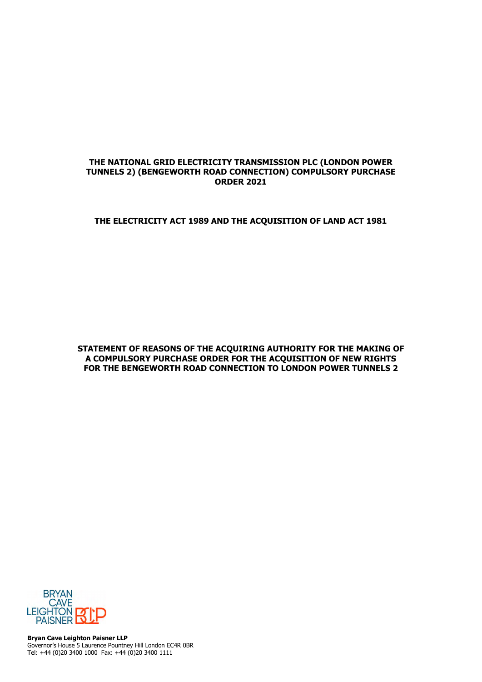## **THE NATIONAL GRID ELECTRICITY TRANSMISSION PLC (LONDON POWER TUNNELS 2) (BENGEWORTH ROAD CONNECTION) COMPULSORY PURCHASE ORDER 2021**

## **THE ELECTRICITY ACT 1989 AND THE ACQUISITION OF LAND ACT 1981**

**STATEMENT OF REASONS OF THE ACQUIRING AUTHORITY FOR THE MAKING OF A COMPULSORY PURCHASE ORDER FOR THE ACQUISITION OF NEW RIGHTS FOR THE BENGEWORTH ROAD CONNECTION TO LONDON POWER TUNNELS 2** 



**Bryan Cave Leighton Paisner LLP**  Governor's House 5 Laurence Pountney Hill London EC4R 0BR Tel: +44 (0)20 3400 1000 Fax: +44 (0)20 3400 1111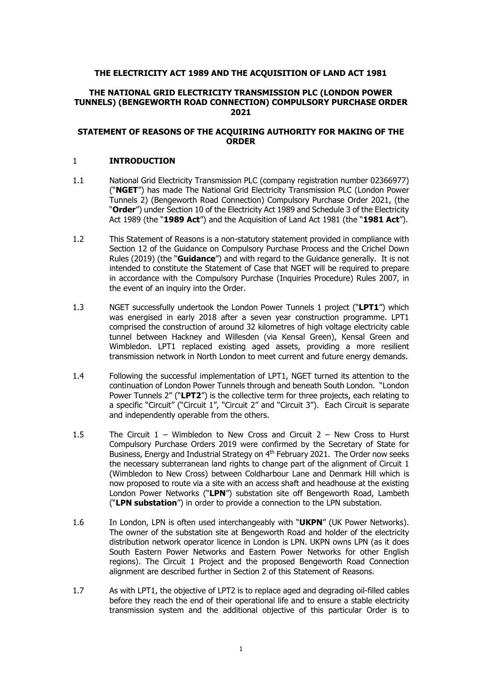## **THE ELECTRICITY ACT 1989 AND THE ACQUISITION OF LAND ACT 1981**

## **THE NATIONAL GRID ELECTRICITY TRANSMISSION PLC (LONDON POWER TUNNELS) (BENGEWORTH ROAD CONNECTION) COMPULSORY PURCHASE ORDER 2021**

## **STATEMENT OF REASONS OF THE ACQUIRING AUTHORITY FOR MAKING OF THE ORDER**

### 1 **INTRODUCTION**

- 1.1 National Grid Electricity Transmission PLC (company registration number 02366977) ("**NGET**") has made The National Grid Electricity Transmission PLC (London Power Tunnels 2) (Bengeworth Road Connection) Compulsory Purchase Order 2021, (the "**Order**") under Section 10 of the Electricity Act 1989 and Schedule 3 of the Electricity Act 1989 (the "**1989 Act**") and the Acquisition of Land Act 1981 (the "**1981 Act**").
- 1.2 This Statement of Reasons is a non-statutory statement provided in compliance with Section 12 of the Guidance on Compulsory Purchase Process and the Crichel Down Rules (2019) (the "**Guidance**") and with regard to the Guidance generally. It is not intended to constitute the Statement of Case that NGET will be required to prepare in accordance with the Compulsory Purchase (Inquiries Procedure) Rules 2007, in the event of an inquiry into the Order.
- 1.3 NGET successfully undertook the London Power Tunnels 1 project ("**LPT1**") which was energised in early 2018 after a seven year construction programme. LPT1 comprised the construction of around 32 kilometres of high voltage electricity cable tunnel between Hackney and Willesden (via Kensal Green), Kensal Green and Wimbledon. LPT1 replaced existing aged assets, providing a more resilient transmission network in North London to meet current and future energy demands.
- 1.4 Following the successful implementation of LPT1, NGET turned its attention to the continuation of London Power Tunnels through and beneath South London. "London Power Tunnels 2" ("**LPT2**") is the collective term for three projects, each relating to a specific "Circuit" ("Circuit 1", "Circuit 2" and "Circuit 3"). Each Circuit is separate and independently operable from the others.
- 1.5 The Circuit 1 Wimbledon to New Cross and Circuit 2 New Cross to Hurst Compulsory Purchase Orders 2019 were confirmed by the Secretary of State for Business, Energy and Industrial Strategy on 4<sup>th</sup> February 2021. The Order now seeks the necessary subterranean land rights to change part of the alignment of Circuit 1 (Wimbledon to New Cross) between Coldharbour Lane and Denmark Hill which is now proposed to route via a site with an access shaft and headhouse at the existing London Power Networks ("**LPN**") substation site off Bengeworth Road, Lambeth ("**LPN substation**") in order to provide a connection to the LPN substation.
- 1.6 In London, LPN is often used interchangeably with "**UKPN**" (UK Power Networks). The owner of the substation site at Bengeworth Road and holder of the electricity distribution network operator licence in London is LPN. UKPN owns LPN (as it does South Eastern Power Networks and Eastern Power Networks for other English regions). The Circuit 1 Project and the proposed Bengeworth Road Connection alignment are described further in Section 2 of this Statement of Reasons.
- 1.7 As with LPT1, the objective of LPT2 is to replace aged and degrading oil-filled cables before they reach the end of their operational life and to ensure a stable electricity transmission system and the additional objective of this particular Order is to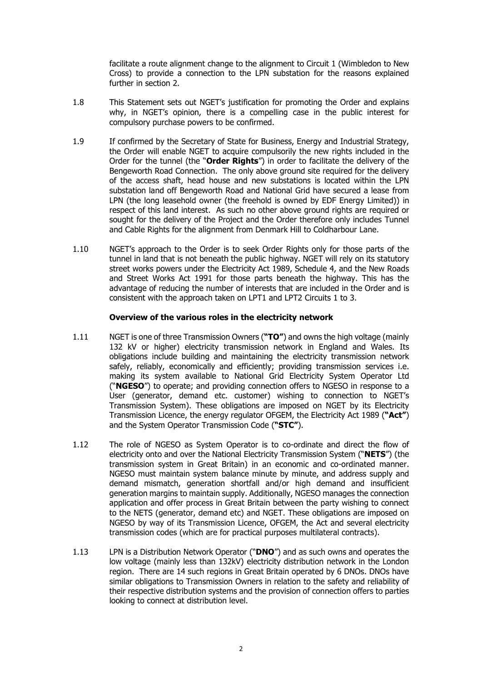facilitate a route alignment change to the alignment to Circuit 1 (Wimbledon to New Cross) to provide a connection to the LPN substation for the reasons explained further in section 2.

- 1.8 This Statement sets out NGET's justification for promoting the Order and explains why, in NGET's opinion, there is a compelling case in the public interest for compulsory purchase powers to be confirmed.
- 1.9 If confirmed by the Secretary of State for Business, Energy and Industrial Strategy, the Order will enable NGET to acquire compulsorily the new rights included in the Order for the tunnel (the "**Order Rights**") in order to facilitate the delivery of the Bengeworth Road Connection. The only above ground site required for the delivery of the access shaft, head house and new substations is located within the LPN substation land off Bengeworth Road and National Grid have secured a lease from LPN (the long leasehold owner (the freehold is owned by EDF Energy Limited)) in respect of this land interest. As such no other above ground rights are required or sought for the delivery of the Project and the Order therefore only includes Tunnel and Cable Rights for the alignment from Denmark Hill to Coldharbour Lane.
- 1.10 NGET's approach to the Order is to seek Order Rights only for those parts of the tunnel in land that is not beneath the public highway. NGET will rely on its statutory street works powers under the Electricity Act 1989, Schedule 4, and the New Roads and Street Works Act 1991 for those parts beneath the highway. This has the advantage of reducing the number of interests that are included in the Order and is consistent with the approach taken on LPT1 and LPT2 Circuits 1 to 3.

### **Overview of the various roles in the electricity network**

- 1.11 NGET is one of three Transmission Owners (**"TO"**) and owns the high voltage (mainly 132 kV or higher) electricity transmission network in England and Wales. Its obligations include building and maintaining the electricity transmission network safely, reliably, economically and efficiently; providing transmission services i.e. making its system available to National Grid Electricity System Operator Ltd ("**NGESO**") to operate; and providing connection offers to NGESO in response to a User (generator, demand etc. customer) wishing to connection to NGET's Transmission System). These obligations are imposed on NGET by its Electricity Transmission Licence, the energy regulator OFGEM, the Electricity Act 1989 (**"Act"**) and the System Operator Transmission Code (**"STC"**).
- 1.12 The role of NGESO as System Operator is to co-ordinate and direct the flow of electricity onto and over the National Electricity Transmission System ("**NETS**") (the transmission system in Great Britain) in an economic and co-ordinated manner. NGESO must maintain system balance minute by minute, and address supply and demand mismatch, generation shortfall and/or high demand and insufficient generation margins to maintain supply. Additionally, NGESO manages the connection application and offer process in Great Britain between the party wishing to connect to the NETS (generator, demand etc) and NGET. These obligations are imposed on NGESO by way of its Transmission Licence, OFGEM, the Act and several electricity transmission codes (which are for practical purposes multilateral contracts).
- 1.13 LPN is a Distribution Network Operator ("**DNO**") and as such owns and operates the low voltage (mainly less than 132kV) electricity distribution network in the London region. There are 14 such regions in Great Britain operated by 6 DNOs. DNOs have similar obligations to Transmission Owners in relation to the safety and reliability of their respective distribution systems and the provision of connection offers to parties looking to connect at distribution level.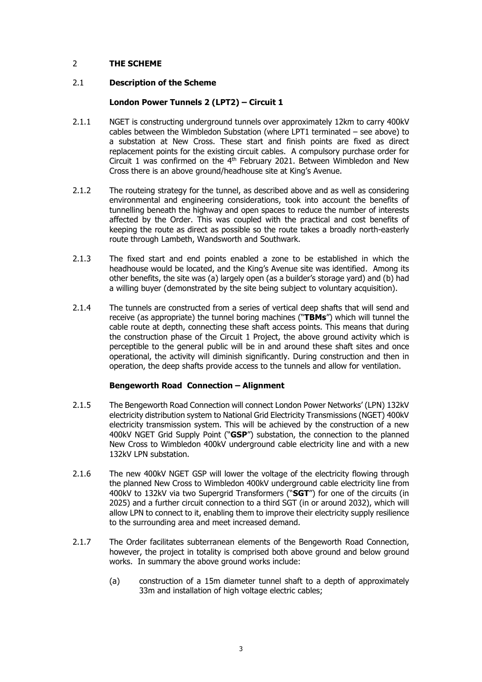# 2 **THE SCHEME**

## 2.1 **Description of the Scheme**

## **London Power Tunnels 2 (LPT2) – Circuit 1**

- 2.1.1 NGET is constructing underground tunnels over approximately 12km to carry 400kV cables between the Wimbledon Substation (where LPT1 terminated – see above) to a substation at New Cross. These start and finish points are fixed as direct replacement points for the existing circuit cables. A compulsory purchase order for Circuit 1 was confirmed on the  $4<sup>th</sup>$  February 2021. Between Wimbledon and New Cross there is an above ground/headhouse site at King's Avenue.
- 2.1.2 The routeing strategy for the tunnel, as described above and as well as considering environmental and engineering considerations, took into account the benefits of tunnelling beneath the highway and open spaces to reduce the number of interests affected by the Order. This was coupled with the practical and cost benefits of keeping the route as direct as possible so the route takes a broadly north-easterly route through Lambeth, Wandsworth and Southwark.
- 2.1.3 The fixed start and end points enabled a zone to be established in which the headhouse would be located, and the King's Avenue site was identified. Among its other benefits, the site was (a) largely open (as a builder's storage yard) and (b) had a willing buyer (demonstrated by the site being subject to voluntary acquisition).
- 2.1.4 The tunnels are constructed from a series of vertical deep shafts that will send and receive (as appropriate) the tunnel boring machines ("**TBMs**") which will tunnel the cable route at depth, connecting these shaft access points. This means that during the construction phase of the Circuit 1 Project, the above ground activity which is perceptible to the general public will be in and around these shaft sites and once operational, the activity will diminish significantly. During construction and then in operation, the deep shafts provide access to the tunnels and allow for ventilation.

## **Bengeworth Road Connection – Alignment**

- 2.1.5 The Bengeworth Road Connection will connect London Power Networks' (LPN) 132kV electricity distribution system to National Grid Electricity Transmissions (NGET) 400kV electricity transmission system. This will be achieved by the construction of a new 400kV NGET Grid Supply Point ("**GSP**") substation, the connection to the planned New Cross to Wimbledon 400kV underground cable electricity line and with a new 132kV LPN substation.
- 2.1.6 The new 400kV NGET GSP will lower the voltage of the electricity flowing through the planned New Cross to Wimbledon 400kV underground cable electricity line from 400kV to 132kV via two Supergrid Transformers ("**SGT**") for one of the circuits (in 2025) and a further circuit connection to a third SGT (in or around 2032), which will allow LPN to connect to it, enabling them to improve their electricity supply resilience to the surrounding area and meet increased demand.
- 2.1.7 The Order facilitates subterranean elements of the Bengeworth Road Connection, however, the project in totality is comprised both above ground and below ground works. In summary the above ground works include:
	- (a) construction of a 15m diameter tunnel shaft to a depth of approximately 33m and installation of high voltage electric cables;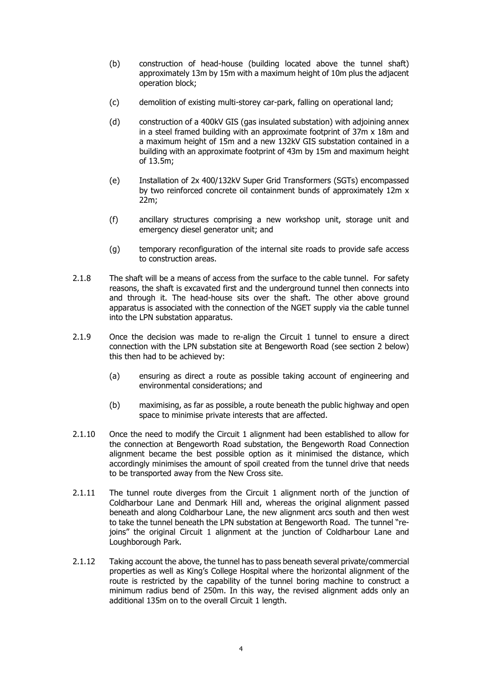- (b) construction of head-house (building located above the tunnel shaft) approximately 13m by 15m with a maximum height of 10m plus the adjacent operation block;
- (c) demolition of existing multi-storey car-park, falling on operational land;
- (d) construction of a 400kV GIS (gas insulated substation) with adjoining annex in a steel framed building with an approximate footprint of 37m x 18m and a maximum height of 15m and a new 132kV GIS substation contained in a building with an approximate footprint of 43m by 15m and maximum height of 13.5m;
- (e) Installation of 2x 400/132kV Super Grid Transformers (SGTs) encompassed by two reinforced concrete oil containment bunds of approximately 12m x 22m;
- (f) ancillary structures comprising a new workshop unit, storage unit and emergency diesel generator unit; and
- (g) temporary reconfiguration of the internal site roads to provide safe access to construction areas.
- 2.1.8 The shaft will be a means of access from the surface to the cable tunnel. For safety reasons, the shaft is excavated first and the underground tunnel then connects into and through it. The head-house sits over the shaft. The other above ground apparatus is associated with the connection of the NGET supply via the cable tunnel into the LPN substation apparatus.
- 2.1.9 Once the decision was made to re-align the Circuit 1 tunnel to ensure a direct connection with the LPN substation site at Bengeworth Road (see section 2 below) this then had to be achieved by:
	- (a) ensuring as direct a route as possible taking account of engineering and environmental considerations; and
	- (b) maximising, as far as possible, a route beneath the public highway and open space to minimise private interests that are affected.
- 2.1.10 Once the need to modify the Circuit 1 alignment had been established to allow for the connection at Bengeworth Road substation, the Bengeworth Road Connection alignment became the best possible option as it minimised the distance, which accordingly minimises the amount of spoil created from the tunnel drive that needs to be transported away from the New Cross site.
- 2.1.11 The tunnel route diverges from the Circuit 1 alignment north of the junction of Coldharbour Lane and Denmark Hill and, whereas the original alignment passed beneath and along Coldharbour Lane, the new alignment arcs south and then west to take the tunnel beneath the LPN substation at Bengeworth Road. The tunnel "rejoins" the original Circuit 1 alignment at the junction of Coldharbour Lane and Loughborough Park.
- 2.1.12 Taking account the above, the tunnel has to pass beneath several private/commercial properties as well as King's College Hospital where the horizontal alignment of the route is restricted by the capability of the tunnel boring machine to construct a minimum radius bend of 250m. In this way, the revised alignment adds only an additional 135m on to the overall Circuit 1 length.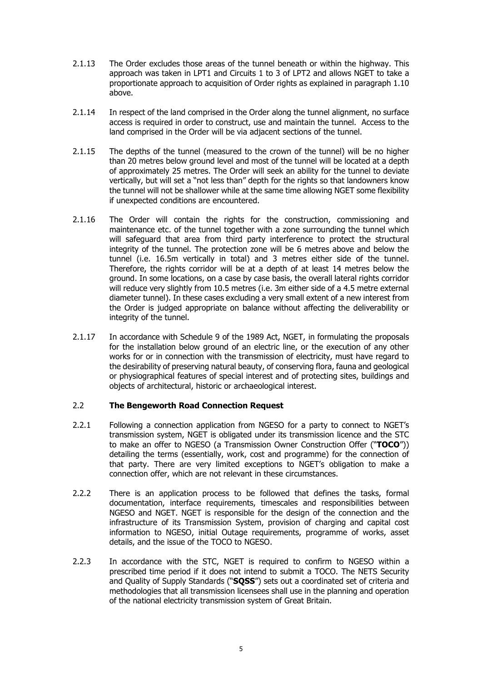- 2.1.13 The Order excludes those areas of the tunnel beneath or within the highway. This approach was taken in LPT1 and Circuits 1 to 3 of LPT2 and allows NGET to take a proportionate approach to acquisition of Order rights as explained in paragraph 1.10 above.
- 2.1.14 In respect of the land comprised in the Order along the tunnel alignment, no surface access is required in order to construct, use and maintain the tunnel. Access to the land comprised in the Order will be via adjacent sections of the tunnel.
- 2.1.15 The depths of the tunnel (measured to the crown of the tunnel) will be no higher than 20 metres below ground level and most of the tunnel will be located at a depth of approximately 25 metres. The Order will seek an ability for the tunnel to deviate vertically, but will set a "not less than" depth for the rights so that landowners know the tunnel will not be shallower while at the same time allowing NGET some flexibility if unexpected conditions are encountered.
- 2.1.16 The Order will contain the rights for the construction, commissioning and maintenance etc. of the tunnel together with a zone surrounding the tunnel which will safeguard that area from third party interference to protect the structural integrity of the tunnel. The protection zone will be 6 metres above and below the tunnel (i.e. 16.5m vertically in total) and 3 metres either side of the tunnel. Therefore, the rights corridor will be at a depth of at least 14 metres below the ground. In some locations, on a case by case basis, the overall lateral rights corridor will reduce very slightly from 10.5 metres (i.e. 3m either side of a 4.5 metre external diameter tunnel). In these cases excluding a very small extent of a new interest from the Order is judged appropriate on balance without affecting the deliverability or integrity of the tunnel.
- 2.1.17 In accordance with Schedule 9 of the 1989 Act, NGET, in formulating the proposals for the installation below ground of an electric line, or the execution of any other works for or in connection with the transmission of electricity, must have regard to the desirability of preserving natural beauty, of conserving flora, fauna and geological or physiographical features of special interest and of protecting sites, buildings and objects of architectural, historic or archaeological interest.

## 2.2 **The Bengeworth Road Connection Request**

- 2.2.1 Following a connection application from NGESO for a party to connect to NGET's transmission system, NGET is obligated under its transmission licence and the STC to make an offer to NGESO (a Transmission Owner Construction Offer ("**TOCO**")) detailing the terms (essentially, work, cost and programme) for the connection of that party. There are very limited exceptions to NGET's obligation to make a connection offer, which are not relevant in these circumstances.
- 2.2.2 There is an application process to be followed that defines the tasks, formal documentation, interface requirements, timescales and responsibilities between NGESO and NGET. NGET is responsible for the design of the connection and the infrastructure of its Transmission System, provision of charging and capital cost information to NGESO, initial Outage requirements, programme of works, asset details, and the issue of the TOCO to NGESO.
- 2.2.3 In accordance with the STC, NGET is required to confirm to NGESO within a prescribed time period if it does not intend to submit a TOCO. The NETS Security and Quality of Supply Standards ("**SQSS**") sets out a coordinated set of criteria and methodologies that all transmission licensees shall use in the planning and operation of the national electricity transmission system of Great Britain.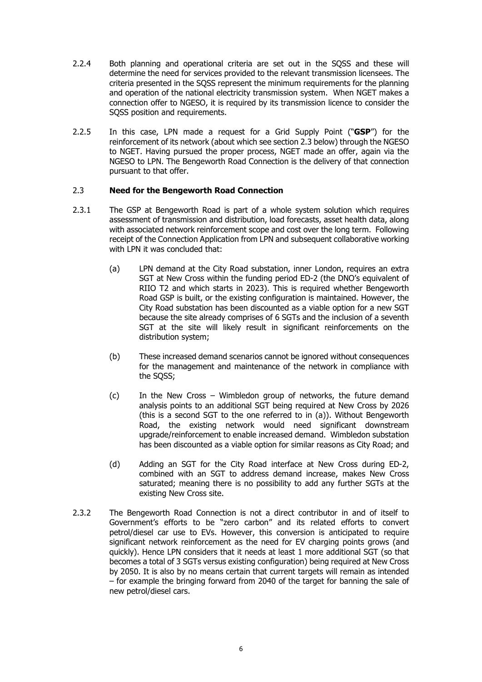- 2.2.4 Both planning and operational criteria are set out in the SQSS and these will determine the need for services provided to the relevant transmission licensees. The criteria presented in the SQSS represent the minimum requirements for the planning and operation of the national electricity transmission system. When NGET makes a connection offer to NGESO, it is required by its transmission licence to consider the SQSS position and requirements.
- 2.2.5 In this case, LPN made a request for a Grid Supply Point ("**GSP**") for the reinforcement of its network (about which see section 2.3 below) through the NGESO to NGET. Having pursued the proper process, NGET made an offer, again via the NGESO to LPN. The Bengeworth Road Connection is the delivery of that connection pursuant to that offer.

## 2.3 **Need for the Bengeworth Road Connection**

- 2.3.1 The GSP at Bengeworth Road is part of a whole system solution which requires assessment of transmission and distribution, load forecasts, asset health data, along with associated network reinforcement scope and cost over the long term. Following receipt of the Connection Application from LPN and subsequent collaborative working with LPN it was concluded that:
	- (a) LPN demand at the City Road substation, inner London, requires an extra SGT at New Cross within the funding period ED-2 (the DNO's equivalent of RIIO T2 and which starts in 2023). This is required whether Bengeworth Road GSP is built, or the existing configuration is maintained. However, the City Road substation has been discounted as a viable option for a new SGT because the site already comprises of 6 SGTs and the inclusion of a seventh SGT at the site will likely result in significant reinforcements on the distribution system;
	- (b) These increased demand scenarios cannot be ignored without consequences for the management and maintenance of the network in compliance with the SQSS;
	- (c) In the New Cross Wimbledon group of networks, the future demand analysis points to an additional SGT being required at New Cross by 2026 (this is a second SGT to the one referred to in (a)). Without Bengeworth Road, the existing network would need significant downstream upgrade/reinforcement to enable increased demand. Wimbledon substation has been discounted as a viable option for similar reasons as City Road; and
	- (d) Adding an SGT for the City Road interface at New Cross during ED-2, combined with an SGT to address demand increase, makes New Cross saturated; meaning there is no possibility to add any further SGTs at the existing New Cross site.
- 2.3.2 The Bengeworth Road Connection is not a direct contributor in and of itself to Government's efforts to be "zero carbon" and its related efforts to convert petrol/diesel car use to EVs. However, this conversion is anticipated to require significant network reinforcement as the need for EV charging points grows (and quickly). Hence LPN considers that it needs at least 1 more additional SGT (so that becomes a total of 3 SGTs versus existing configuration) being required at New Cross by 2050. It is also by no means certain that current targets will remain as intended – for example the bringing forward from 2040 of the target for banning the sale of new petrol/diesel cars.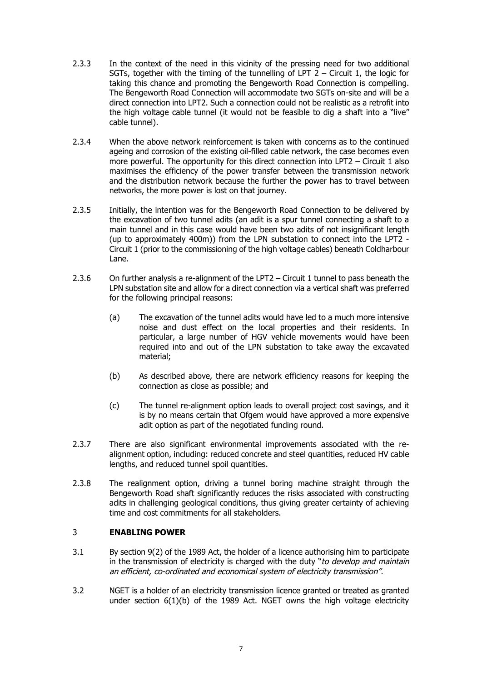- 2.3.3 In the context of the need in this vicinity of the pressing need for two additional SGTs, together with the timing of the tunnelling of LPT  $2$  – Circuit 1, the logic for taking this chance and promoting the Bengeworth Road Connection is compelling. The Bengeworth Road Connection will accommodate two SGTs on-site and will be a direct connection into LPT2. Such a connection could not be realistic as a retrofit into the high voltage cable tunnel (it would not be feasible to dig a shaft into a "live" cable tunnel).
- 2.3.4 When the above network reinforcement is taken with concerns as to the continued ageing and corrosion of the existing oil-filled cable network, the case becomes even more powerful. The opportunity for this direct connection into LPT2 – Circuit 1 also maximises the efficiency of the power transfer between the transmission network and the distribution network because the further the power has to travel between networks, the more power is lost on that journey.
- 2.3.5 Initially, the intention was for the Bengeworth Road Connection to be delivered by the excavation of two tunnel adits (an adit is a spur tunnel connecting a shaft to a main tunnel and in this case would have been two adits of not insignificant length (up to approximately 400m)) from the LPN substation to connect into the LPT2 - Circuit 1 (prior to the commissioning of the high voltage cables) beneath Coldharbour Lane.
- 2.3.6 On further analysis a re-alignment of the LPT2 Circuit 1 tunnel to pass beneath the LPN substation site and allow for a direct connection via a vertical shaft was preferred for the following principal reasons:
	- (a) The excavation of the tunnel adits would have led to a much more intensive noise and dust effect on the local properties and their residents. In particular, a large number of HGV vehicle movements would have been required into and out of the LPN substation to take away the excavated material;
	- (b) As described above, there are network efficiency reasons for keeping the connection as close as possible; and
	- (c) The tunnel re-alignment option leads to overall project cost savings, and it is by no means certain that Ofgem would have approved a more expensive adit option as part of the negotiated funding round.
- 2.3.7 There are also significant environmental improvements associated with the realignment option, including: reduced concrete and steel quantities, reduced HV cable lengths, and reduced tunnel spoil quantities.
- 2.3.8 The realignment option, driving a tunnel boring machine straight through the Bengeworth Road shaft significantly reduces the risks associated with constructing adits in challenging geological conditions, thus giving greater certainty of achieving time and cost commitments for all stakeholders.

# 3 **ENABLING POWER**

- 3.1 By section 9(2) of the 1989 Act, the holder of a licence authorising him to participate in the transmission of electricity is charged with the duty "to develop and maintain an efficient, co-ordinated and economical system of electricity transmission".
- 3.2 NGET is a holder of an electricity transmission licence granted or treated as granted under section 6(1)(b) of the 1989 Act. NGET owns the high voltage electricity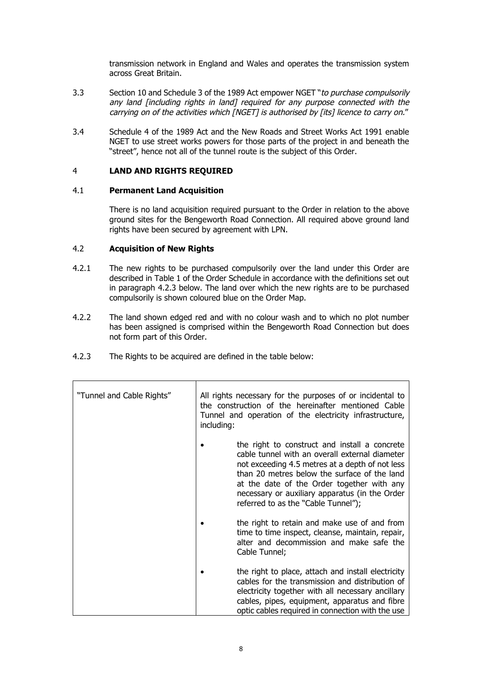transmission network in England and Wales and operates the transmission system across Great Britain.

- 3.3 Section 10 and Schedule 3 of the 1989 Act empower NGET "to purchase compulsorily any land [including rights in land] required for any purpose connected with the carrying on of the activities which [NGET] is authorised by [its] licence to carry on."
- 3.4 Schedule 4 of the 1989 Act and the New Roads and Street Works Act 1991 enable NGET to use street works powers for those parts of the project in and beneath the "street", hence not all of the tunnel route is the subject of this Order.

## 4 **LAND AND RIGHTS REQUIRED**

## 4.1 **Permanent Land Acquisition**

There is no land acquisition required pursuant to the Order in relation to the above ground sites for the Bengeworth Road Connection. All required above ground land rights have been secured by agreement with LPN.

## 4.2 **Acquisition of New Rights**

- 4.2.1 The new rights to be purchased compulsorily over the land under this Order are described in Table 1 of the Order Schedule in accordance with the definitions set out in paragraph 4.2.3 below. The land over which the new rights are to be purchased compulsorily is shown coloured blue on the Order Map.
- 4.2.2 The land shown edged red and with no colour wash and to which no plot number has been assigned is comprised within the Bengeworth Road Connection but does not form part of this Order.
- 4.2.3 The Rights to be acquired are defined in the table below:

| "Tunnel and Cable Rights" | All rights necessary for the purposes of or incidental to<br>the construction of the hereinafter mentioned Cable<br>Tunnel and operation of the electricity infrastructure,<br>including: |                                                                                                                                                                                                                                                                                                                                           |
|---------------------------|-------------------------------------------------------------------------------------------------------------------------------------------------------------------------------------------|-------------------------------------------------------------------------------------------------------------------------------------------------------------------------------------------------------------------------------------------------------------------------------------------------------------------------------------------|
|                           |                                                                                                                                                                                           | the right to construct and install a concrete<br>cable tunnel with an overall external diameter<br>not exceeding 4.5 metres at a depth of not less<br>than 20 metres below the surface of the land<br>at the date of the Order together with any<br>necessary or auxiliary apparatus (in the Order<br>referred to as the "Cable Tunnel"); |
|                           |                                                                                                                                                                                           | the right to retain and make use of and from<br>time to time inspect, cleanse, maintain, repair,<br>alter and decommission and make safe the<br>Cable Tunnel;                                                                                                                                                                             |
|                           |                                                                                                                                                                                           | the right to place, attach and install electricity<br>cables for the transmission and distribution of<br>electricity together with all necessary ancillary<br>cables, pipes, equipment, apparatus and fibre<br>optic cables required in connection with the use                                                                           |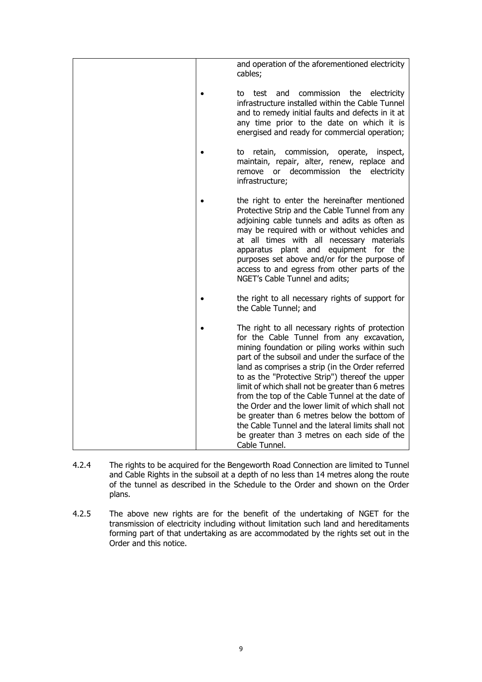|  | and operation of the aforementioned electricity<br>cables;                                                                                                                                                                                                                                                                                                                                                                                                                                                                                                                                                                                 |
|--|--------------------------------------------------------------------------------------------------------------------------------------------------------------------------------------------------------------------------------------------------------------------------------------------------------------------------------------------------------------------------------------------------------------------------------------------------------------------------------------------------------------------------------------------------------------------------------------------------------------------------------------------|
|  | to test and commission the electricity<br>infrastructure installed within the Cable Tunnel<br>and to remedy initial faults and defects in it at<br>any time prior to the date on which it is<br>energised and ready for commercial operation;                                                                                                                                                                                                                                                                                                                                                                                              |
|  | commission,<br>operate,<br>retain,<br>inspect,<br>to<br>maintain, repair, alter, renew, replace and<br>decommission the electricity<br>remove<br>or<br>infrastructure;                                                                                                                                                                                                                                                                                                                                                                                                                                                                     |
|  | the right to enter the hereinafter mentioned<br>Protective Strip and the Cable Tunnel from any<br>adjoining cable tunnels and adits as often as<br>may be required with or without vehicles and<br>at all times with all necessary materials<br>apparatus plant and equipment for the<br>purposes set above and/or for the purpose of<br>access to and egress from other parts of the<br>NGET's Cable Tunnel and adits;                                                                                                                                                                                                                    |
|  | the right to all necessary rights of support for<br>the Cable Tunnel; and                                                                                                                                                                                                                                                                                                                                                                                                                                                                                                                                                                  |
|  | The right to all necessary rights of protection<br>for the Cable Tunnel from any excavation,<br>mining foundation or piling works within such<br>part of the subsoil and under the surface of the<br>land as comprises a strip (in the Order referred<br>to as the "Protective Strip") thereof the upper<br>limit of which shall not be greater than 6 metres<br>from the top of the Cable Tunnel at the date of<br>the Order and the lower limit of which shall not<br>be greater than 6 metres below the bottom of<br>the Cable Tunnel and the lateral limits shall not<br>be greater than 3 metres on each side of the<br>Cable Tunnel. |

- 4.2.4 The rights to be acquired for the Bengeworth Road Connection are limited to Tunnel and Cable Rights in the subsoil at a depth of no less than 14 metres along the route of the tunnel as described in the Schedule to the Order and shown on the Order plans.
- 4.2.5 The above new rights are for the benefit of the undertaking of NGET for the transmission of electricity including without limitation such land and hereditaments forming part of that undertaking as are accommodated by the rights set out in the Order and this notice.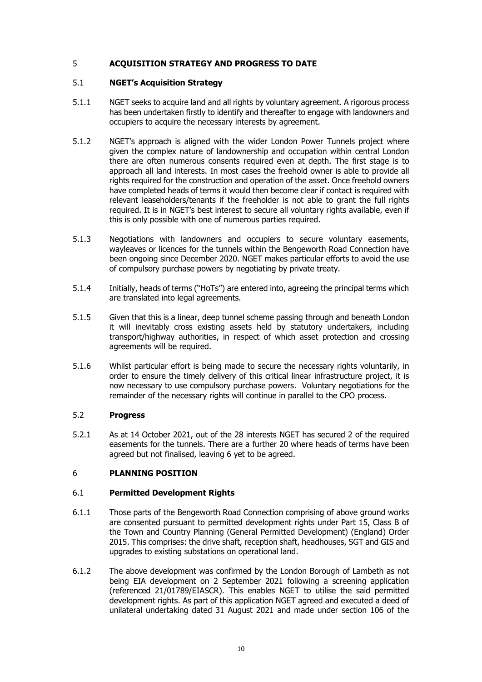# 5 **ACQUISITION STRATEGY AND PROGRESS TO DATE**

## 5.1 **NGET's Acquisition Strategy**

- 5.1.1 NGET seeks to acquire land and all rights by voluntary agreement. A rigorous process has been undertaken firstly to identify and thereafter to engage with landowners and occupiers to acquire the necessary interests by agreement.
- 5.1.2 NGET's approach is aligned with the wider London Power Tunnels project where given the complex nature of landownership and occupation within central London there are often numerous consents required even at depth. The first stage is to approach all land interests. In most cases the freehold owner is able to provide all rights required for the construction and operation of the asset. Once freehold owners have completed heads of terms it would then become clear if contact is required with relevant leaseholders/tenants if the freeholder is not able to grant the full rights required. It is in NGET's best interest to secure all voluntary rights available, even if this is only possible with one of numerous parties required.
- 5.1.3 Negotiations with landowners and occupiers to secure voluntary easements, wayleaves or licences for the tunnels within the Bengeworth Road Connection have been ongoing since December 2020. NGET makes particular efforts to avoid the use of compulsory purchase powers by negotiating by private treaty.
- 5.1.4 Initially, heads of terms ("HoTs") are entered into, agreeing the principal terms which are translated into legal agreements.
- 5.1.5 Given that this is a linear, deep tunnel scheme passing through and beneath London it will inevitably cross existing assets held by statutory undertakers, including transport/highway authorities, in respect of which asset protection and crossing agreements will be required.
- 5.1.6 Whilst particular effort is being made to secure the necessary rights voluntarily, in order to ensure the timely delivery of this critical linear infrastructure project, it is now necessary to use compulsory purchase powers. Voluntary negotiations for the remainder of the necessary rights will continue in parallel to the CPO process.

## 5.2 **Progress**

5.2.1 As at 14 October 2021, out of the 28 interests NGET has secured 2 of the required easements for the tunnels. There are a further 20 where heads of terms have been agreed but not finalised, leaving 6 yet to be agreed.

# 6 **PLANNING POSITION**

#### 6.1 **Permitted Development Rights**

- 6.1.1 Those parts of the Bengeworth Road Connection comprising of above ground works are consented pursuant to permitted development rights under Part 15, Class B of the Town and Country Planning (General Permitted Development) (England) Order 2015. This comprises: the drive shaft, reception shaft, headhouses, SGT and GIS and upgrades to existing substations on operational land.
- 6.1.2 The above development was confirmed by the London Borough of Lambeth as not being EIA development on 2 September 2021 following a screening application (referenced 21/01789/EIASCR). This enables NGET to utilise the said permitted development rights. As part of this application NGET agreed and executed a deed of unilateral undertaking dated 31 August 2021 and made under section 106 of the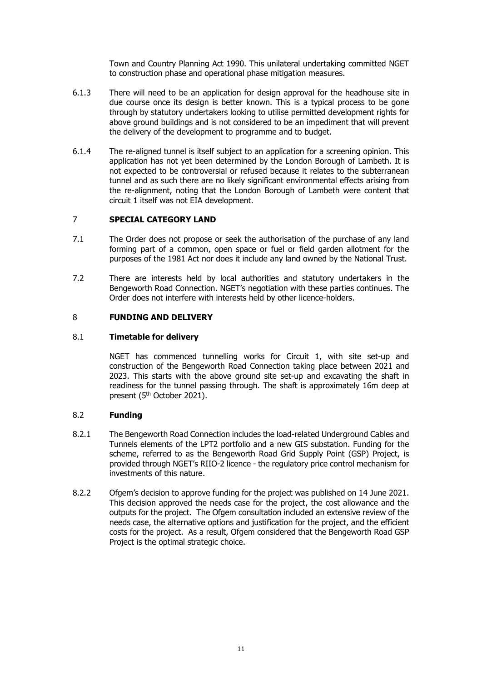Town and Country Planning Act 1990. This unilateral undertaking committed NGET to construction phase and operational phase mitigation measures.

- 6.1.3 There will need to be an application for design approval for the headhouse site in due course once its design is better known. This is a typical process to be gone through by statutory undertakers looking to utilise permitted development rights for above ground buildings and is not considered to be an impediment that will prevent the delivery of the development to programme and to budget.
- 6.1.4 The re-aligned tunnel is itself subject to an application for a screening opinion. This application has not yet been determined by the London Borough of Lambeth. It is not expected to be controversial or refused because it relates to the subterranean tunnel and as such there are no likely significant environmental effects arising from the re-alignment, noting that the London Borough of Lambeth were content that circuit 1 itself was not EIA development.

# 7 **SPECIAL CATEGORY LAND**

- 7.1 The Order does not propose or seek the authorisation of the purchase of any land forming part of a common, open space or fuel or field garden allotment for the purposes of the 1981 Act nor does it include any land owned by the National Trust.
- 7.2 There are interests held by local authorities and statutory undertakers in the Bengeworth Road Connection. NGET's negotiation with these parties continues. The Order does not interfere with interests held by other licence-holders.

# 8 **FUNDING AND DELIVERY**

## 8.1 **Timetable for delivery**

NGET has commenced tunnelling works for Circuit 1, with site set-up and construction of the Bengeworth Road Connection taking place between 2021 and 2023. This starts with the above ground site set-up and excavating the shaft in readiness for the tunnel passing through. The shaft is approximately 16m deep at present (5<sup>th</sup> October 2021).

## 8.2 **Funding**

- 8.2.1 The Bengeworth Road Connection includes the load-related Underground Cables and Tunnels elements of the LPT2 portfolio and a new GIS substation. Funding for the scheme, referred to as the Bengeworth Road Grid Supply Point (GSP) Project, is provided through NGET's RIIO-2 licence - the regulatory price control mechanism for investments of this nature.
- 8.2.2 Ofgem's decision to approve funding for the project was published on 14 June 2021. This decision approved the needs case for the project, the cost allowance and the outputs for the project. The Ofgem consultation included an extensive review of the needs case, the alternative options and justification for the project, and the efficient costs for the project. As a result, Ofgem considered that the Bengeworth Road GSP Project is the optimal strategic choice.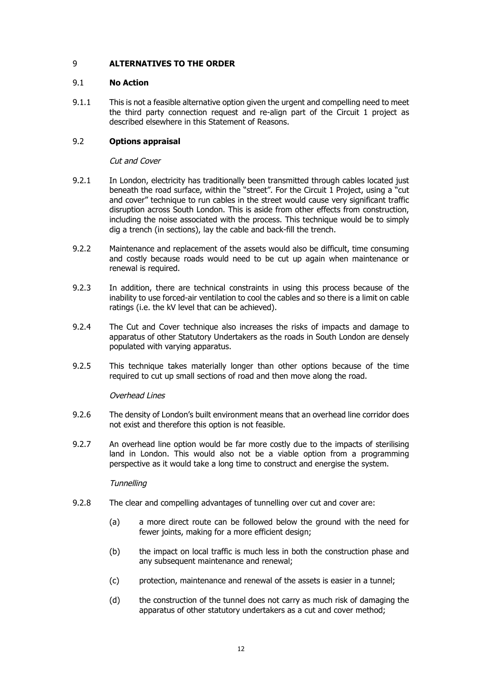# 9 **ALTERNATIVES TO THE ORDER**

### 9.1 **No Action**

9.1.1 This is not a feasible alternative option given the urgent and compelling need to meet the third party connection request and re-align part of the Circuit 1 project as described elsewhere in this Statement of Reasons.

## 9.2 **Options appraisal**

### Cut and Cover

- 9.2.1 In London, electricity has traditionally been transmitted through cables located just beneath the road surface, within the "street". For the Circuit 1 Project, using a "cut and cover" technique to run cables in the street would cause very significant traffic disruption across South London. This is aside from other effects from construction, including the noise associated with the process. This technique would be to simply dig a trench (in sections), lay the cable and back-fill the trench.
- 9.2.2 Maintenance and replacement of the assets would also be difficult, time consuming and costly because roads would need to be cut up again when maintenance or renewal is required.
- 9.2.3 In addition, there are technical constraints in using this process because of the inability to use forced-air ventilation to cool the cables and so there is a limit on cable ratings (i.e. the kV level that can be achieved).
- 9.2.4 The Cut and Cover technique also increases the risks of impacts and damage to apparatus of other Statutory Undertakers as the roads in South London are densely populated with varying apparatus.
- 9.2.5 This technique takes materially longer than other options because of the time required to cut up small sections of road and then move along the road.

#### Overhead Lines

- 9.2.6 The density of London's built environment means that an overhead line corridor does not exist and therefore this option is not feasible.
- 9.2.7 An overhead line option would be far more costly due to the impacts of sterilising land in London. This would also not be a viable option from a programming perspective as it would take a long time to construct and energise the system.

#### **Tunnelling**

- 9.2.8 The clear and compelling advantages of tunnelling over cut and cover are:
	- (a) a more direct route can be followed below the ground with the need for fewer joints, making for a more efficient design;
	- (b) the impact on local traffic is much less in both the construction phase and any subsequent maintenance and renewal;
	- (c) protection, maintenance and renewal of the assets is easier in a tunnel;
	- (d) the construction of the tunnel does not carry as much risk of damaging the apparatus of other statutory undertakers as a cut and cover method;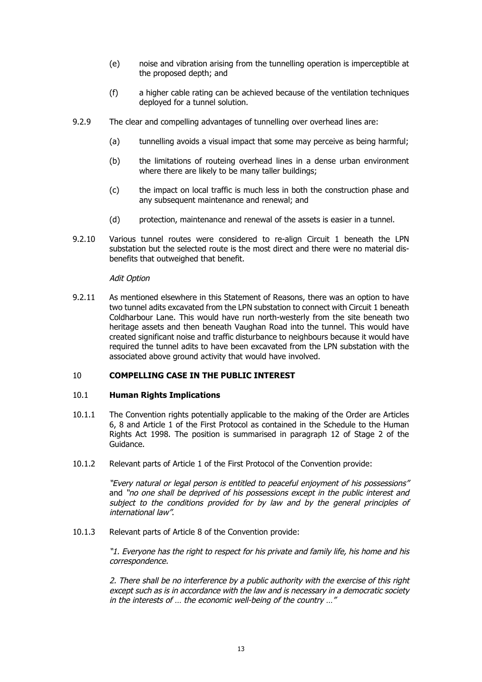- (e) noise and vibration arising from the tunnelling operation is imperceptible at the proposed depth; and
- (f) a higher cable rating can be achieved because of the ventilation techniques deployed for a tunnel solution.
- 9.2.9 The clear and compelling advantages of tunnelling over overhead lines are:
	- (a) tunnelling avoids a visual impact that some may perceive as being harmful;
	- (b) the limitations of routeing overhead lines in a dense urban environment where there are likely to be many taller buildings;
	- (c) the impact on local traffic is much less in both the construction phase and any subsequent maintenance and renewal; and
	- (d) protection, maintenance and renewal of the assets is easier in a tunnel.
- 9.2.10 Various tunnel routes were considered to re-align Circuit 1 beneath the LPN substation but the selected route is the most direct and there were no material disbenefits that outweighed that benefit.

#### Adit Option

9.2.11 As mentioned elsewhere in this Statement of Reasons, there was an option to have two tunnel adits excavated from the LPN substation to connect with Circuit 1 beneath Coldharbour Lane. This would have run north-westerly from the site beneath two heritage assets and then beneath Vaughan Road into the tunnel. This would have created significant noise and traffic disturbance to neighbours because it would have required the tunnel adits to have been excavated from the LPN substation with the associated above ground activity that would have involved.

### 10 **COMPELLING CASE IN THE PUBLIC INTEREST**

#### 10.1 **Human Rights Implications**

- 10.1.1 The Convention rights potentially applicable to the making of the Order are Articles 6, 8 and Article 1 of the First Protocol as contained in the Schedule to the Human Rights Act 1998. The position is summarised in paragraph 12 of Stage 2 of the Guidance.
- 10.1.2 Relevant parts of Article 1 of the First Protocol of the Convention provide:

"Every natural or legal person is entitled to peaceful enjoyment of his possessions" and "no one shall be deprived of his possessions except in the public interest and subject to the conditions provided for by law and by the general principles of international law".

10.1.3 Relevant parts of Article 8 of the Convention provide:

"1. Everyone has the right to respect for his private and family life, his home and his correspondence.

2. There shall be no interference by a public authority with the exercise of this right except such as is in accordance with the law and is necessary in a democratic society in the interests of … the economic well-being of the country …"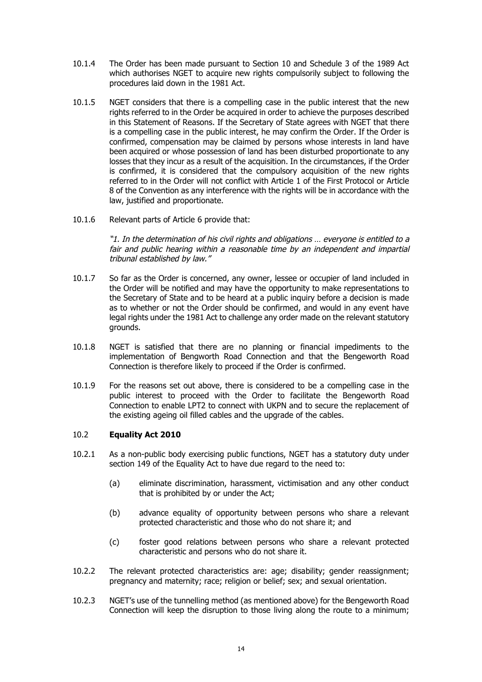- 10.1.4 The Order has been made pursuant to Section 10 and Schedule 3 of the 1989 Act which authorises NGET to acquire new rights compulsorily subject to following the procedures laid down in the 1981 Act.
- 10.1.5 NGET considers that there is a compelling case in the public interest that the new rights referred to in the Order be acquired in order to achieve the purposes described in this Statement of Reasons. If the Secretary of State agrees with NGET that there is a compelling case in the public interest, he may confirm the Order. If the Order is confirmed, compensation may be claimed by persons whose interests in land have been acquired or whose possession of land has been disturbed proportionate to any losses that they incur as a result of the acquisition. In the circumstances, if the Order is confirmed, it is considered that the compulsory acquisition of the new rights referred to in the Order will not conflict with Article 1 of the First Protocol or Article 8 of the Convention as any interference with the rights will be in accordance with the law, justified and proportionate.
- 10.1.6 Relevant parts of Article 6 provide that:

"1. In the determination of his civil rights and obligations … everyone is entitled to a fair and public hearing within a reasonable time by an independent and impartial tribunal established by law."

- 10.1.7 So far as the Order is concerned, any owner, lessee or occupier of land included in the Order will be notified and may have the opportunity to make representations to the Secretary of State and to be heard at a public inquiry before a decision is made as to whether or not the Order should be confirmed, and would in any event have legal rights under the 1981 Act to challenge any order made on the relevant statutory grounds.
- 10.1.8 NGET is satisfied that there are no planning or financial impediments to the implementation of Bengworth Road Connection and that the Bengeworth Road Connection is therefore likely to proceed if the Order is confirmed.
- 10.1.9 For the reasons set out above, there is considered to be a compelling case in the public interest to proceed with the Order to facilitate the Bengeworth Road Connection to enable LPT2 to connect with UKPN and to secure the replacement of the existing ageing oil filled cables and the upgrade of the cables.

# 10.2 **Equality Act 2010**

- 10.2.1 As a non-public body exercising public functions, NGET has a statutory duty under section 149 of the Equality Act to have due regard to the need to:
	- (a) eliminate discrimination, harassment, victimisation and any other conduct that is prohibited by or under the Act;
	- (b) advance equality of opportunity between persons who share a relevant protected characteristic and those who do not share it; and
	- (c) foster good relations between persons who share a relevant protected characteristic and persons who do not share it.
- 10.2.2 The relevant protected characteristics are: age; disability; gender reassignment; pregnancy and maternity; race; religion or belief; sex; and sexual orientation.
- 10.2.3 NGET's use of the tunnelling method (as mentioned above) for the Bengeworth Road Connection will keep the disruption to those living along the route to a minimum;